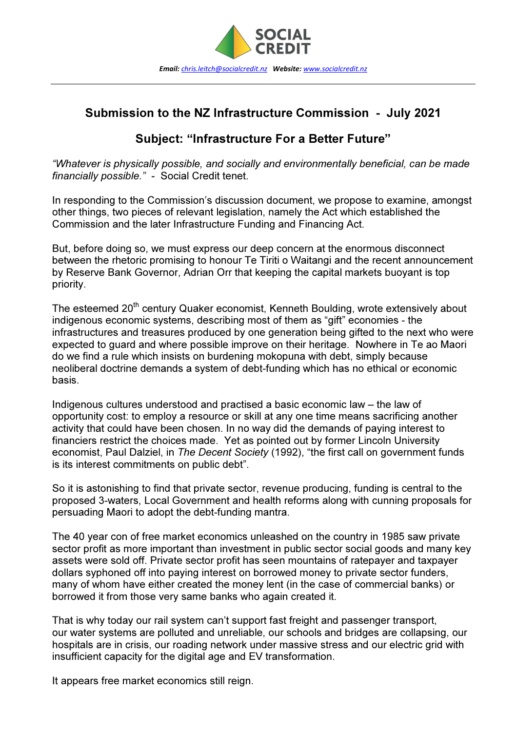

## Submission to the NZ Infrastructure Commission - July 2021

## Subject: "Infrastructure For a Better Future"

"Whatever is physically possible, and socially and environmentally beneficial, can be made financially possible." - Social Credit tenet.

In responding to the Commission's discussion document, we propose to examine, amongst other things, two pieces of relevant legislation, namely the Act which established the Commission and the later Infrastructure Funding and Financing Act.

But, before doing so, we must express our deep concern at the enormous disconnect between the rhetoric promising to honour Te Tiriti o Waitangi and the recent announcement by Reserve Bank Governor, Adrian Orr that keeping the capital markets buoyant is top priority.

The esteemed 20<sup>th</sup> century Quaker economist, Kenneth Boulding, wrote extensively about indigenous economic systems, describing most of them as "gift" economies - the infrastructures and treasures produced by one generation being gifted to the next who were expected to guard and where possible improve on their heritage. Nowhere in Te ao Maori do we find a rule which insists on burdening mokopuna with debt, simply because neoliberal doctrine demands a system of debt-funding which has no ethical or economic basis.

Indigenous cultures understood and practised a basic economic law – the law of opportunity cost: to employ a resource or skill at any one time means sacrificing another activity that could have been chosen. In no way did the demands of paying interest to financiers restrict the choices made. Yet as pointed out by former Lincoln University economist, Paul Dalziel, in The Decent Society (1992), "the first call on government funds is its interest commitments on public debt".

So it is astonishing to find that private sector, revenue producing, funding is central to the proposed 3-waters, Local Government and health reforms along with cunning proposals for persuading Maori to adopt the debt-funding mantra.

The 40 year con of free market economics unleashed on the country in 1985 saw private sector profit as more important than investment in public sector social goods and many key assets were sold off. Private sector profit has seen mountains of ratepayer and taxpayer dollars syphoned off into paying interest on borrowed money to private sector funders, many of whom have either created the money lent (in the case of commercial banks) or borrowed it from those very same banks who again created it.

That is why today our rail system can't support fast freight and passenger transport, our water systems are polluted and unreliable, our schools and bridges are collapsing, our hospitals are in crisis, our roading network under massive stress and our electric grid with insufficient capacity for the digital age and EV transformation.

It appears free market economics still reign.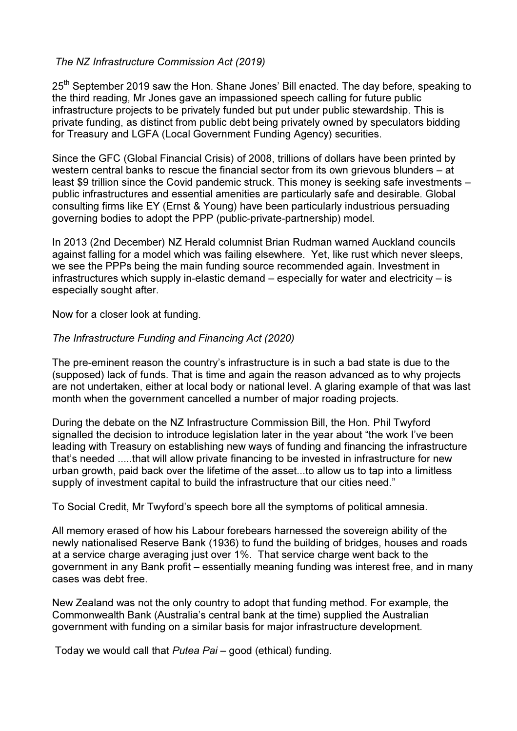## The NZ Infrastructure Commission Act (2019)

25<sup>th</sup> September 2019 saw the Hon. Shane Jones' Bill enacted. The day before, speaking to the third reading, Mr Jones gave an impassioned speech calling for future public infrastructure projects to be privately funded but put under public stewardship. This is private funding, as distinct from public debt being privately owned by speculators bidding for Treasury and LGFA (Local Government Funding Agency) securities.

Since the GFC (Global Financial Crisis) of 2008, trillions of dollars have been printed by western central banks to rescue the financial sector from its own grievous blunders – at least \$9 trillion since the Covid pandemic struck. This money is seeking safe investments – public infrastructures and essential amenities are particularly safe and desirable. Global consulting firms like EY (Ernst & Young) have been particularly industrious persuading governing bodies to adopt the PPP (public-private-partnership) model.

In 2013 (2nd December) NZ Herald columnist Brian Rudman warned Auckland councils against falling for a model which was failing elsewhere. Yet, like rust which never sleeps, we see the PPPs being the main funding source recommended again. Investment in infrastructures which supply in-elastic demand – especially for water and electricity – is especially sought after.

Now for a closer look at funding.

## The Infrastructure Funding and Financing Act (2020)

The pre-eminent reason the country's infrastructure is in such a bad state is due to the (supposed) lack of funds. That is time and again the reason advanced as to why projects are not undertaken, either at local body or national level. A glaring example of that was last month when the government cancelled a number of major roading projects.

During the debate on the NZ Infrastructure Commission Bill, the Hon. Phil Twyford signalled the decision to introduce legislation later in the year about "the work I've been leading with Treasury on establishing new ways of funding and financing the infrastructure that's needed .....that will allow private financing to be invested in infrastructure for new urban growth, paid back over the lifetime of the asset...to allow us to tap into a limitless supply of investment capital to build the infrastructure that our cities need."

To Social Credit, Mr Twyford's speech bore all the symptoms of political amnesia.

All memory erased of how his Labour forebears harnessed the sovereign ability of the newly nationalised Reserve Bank (1936) to fund the building of bridges, houses and roads at a service charge averaging just over 1%. That service charge went back to the government in any Bank profit – essentially meaning funding was interest free, and in many cases was debt free.

New Zealand was not the only country to adopt that funding method. For example, the Commonwealth Bank (Australia's central bank at the time) supplied the Australian government with funding on a similar basis for major infrastructure development.

Today we would call that Putea Pai – good (ethical) funding.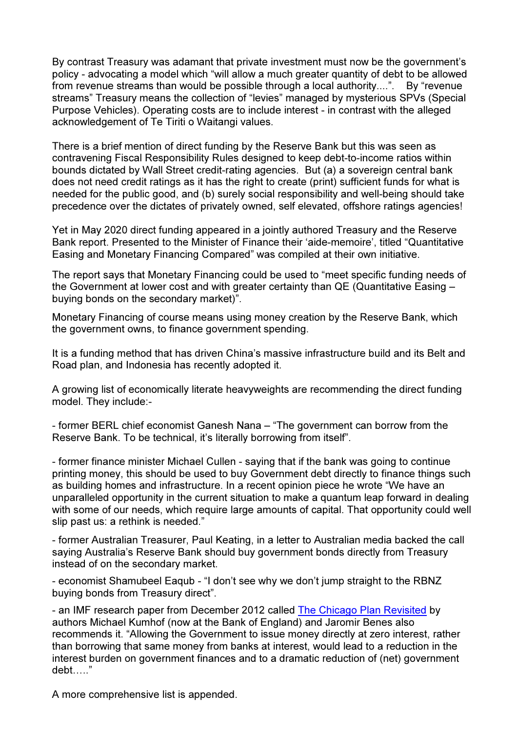By contrast Treasury was adamant that private investment must now be the government's policy - advocating a model which "will allow a much greater quantity of debt to be allowed from revenue streams than would be possible through a local authority....". By "revenue streams" Treasury means the collection of "levies" managed by mysterious SPVs (Special Purpose Vehicles). Operating costs are to include interest - in contrast with the alleged acknowledgement of Te Tiriti o Waitangi values.

There is a brief mention of direct funding by the Reserve Bank but this was seen as contravening Fiscal Responsibility Rules designed to keep debt-to-income ratios within bounds dictated by Wall Street credit-rating agencies. But (a) a sovereign central bank does not need credit ratings as it has the right to create (print) sufficient funds for what is needed for the public good, and (b) surely social responsibility and well-being should take precedence over the dictates of privately owned, self elevated, offshore ratings agencies!

Yet in May 2020 direct funding appeared in a jointly authored Treasury and the Reserve Bank report. Presented to the Minister of Finance their 'aide-memoire', titled "Quantitative Easing and Monetary Financing Compared" was compiled at their own initiative.

The report says that Monetary Financing could be used to "meet specific funding needs of the Government at lower cost and with greater certainty than QE (Quantitative Easing – buying bonds on the secondary market)".

Monetary Financing of course means using money creation by the Reserve Bank, which the government owns, to finance government spending.

It is a funding method that has driven China's massive infrastructure build and its Belt and Road plan, and Indonesia has recently adopted it.

A growing list of economically literate heavyweights are recommending the direct funding model. They include:-

- former BERL chief economist Ganesh Nana – "The government can borrow from the Reserve Bank. To be technical, it's literally borrowing from itself".

- former finance minister Michael Cullen - saying that if the bank was going to continue printing money, this should be used to buy Government debt directly to finance things such as building homes and infrastructure. In a recent opinion piece he wrote "We have an unparalleled opportunity in the current situation to make a quantum leap forward in dealing with some of our needs, which require large amounts of capital. That opportunity could well slip past us: a rethink is needed."

- former Australian Treasurer, Paul Keating, in a letter to Australian media backed the call saying Australia's Reserve Bank should buy government bonds directly from Treasury instead of on the secondary market.

- economist Shamubeel Eaqub - "I don't see why we don't jump straight to the RBNZ buying bonds from Treasury direct".

- an IMF research paper from December 2012 called The Chicago Plan Revisited by authors Michael Kumhof (now at the Bank of England) and Jaromir Benes also recommends it. "Allowing the Government to issue money directly at zero interest, rather than borrowing that same money from banks at interest, would lead to a reduction in the interest burden on government finances and to a dramatic reduction of (net) government  $debt$ ....."

A more comprehensive list is appended.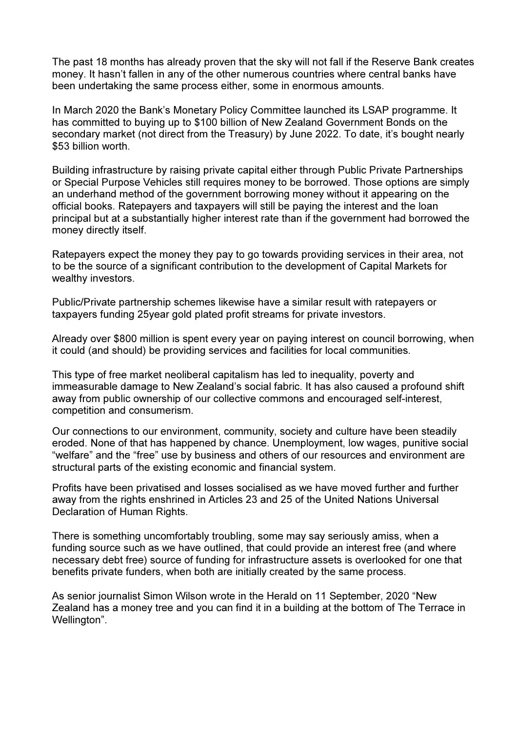The past 18 months has already proven that the sky will not fall if the Reserve Bank creates money. It hasn't fallen in any of the other numerous countries where central banks have been undertaking the same process either, some in enormous amounts.

In March 2020 the Bank's Monetary Policy Committee launched its LSAP programme. It has committed to buying up to \$100 billion of New Zealand Government Bonds on the secondary market (not direct from the Treasury) by June 2022. To date, it's bought nearly \$53 billion worth.

Building infrastructure by raising private capital either through Public Private Partnerships or Special Purpose Vehicles still requires money to be borrowed. Those options are simply an underhand method of the government borrowing money without it appearing on the official books. Ratepayers and taxpayers will still be paying the interest and the loan principal but at a substantially higher interest rate than if the government had borrowed the money directly itself.

Ratepayers expect the money they pay to go towards providing services in their area, not to be the source of a significant contribution to the development of Capital Markets for wealthy investors.

Public/Private partnership schemes likewise have a similar result with ratepayers or taxpayers funding 25year gold plated profit streams for private investors.

Already over \$800 million is spent every year on paying interest on council borrowing, when it could (and should) be providing services and facilities for local communities.

This type of free market neoliberal capitalism has led to inequality, poverty and immeasurable damage to New Zealand's social fabric. It has also caused a profound shift away from public ownership of our collective commons and encouraged self-interest, competition and consumerism.

Our connections to our environment, community, society and culture have been steadily eroded. None of that has happened by chance. Unemployment, low wages, punitive social "welfare" and the "free" use by business and others of our resources and environment are structural parts of the existing economic and financial system.

Profits have been privatised and losses socialised as we have moved further and further away from the rights enshrined in Articles 23 and 25 of the United Nations Universal Declaration of Human Rights.

There is something uncomfortably troubling, some may say seriously amiss, when a funding source such as we have outlined, that could provide an interest free (and where necessary debt free) source of funding for infrastructure assets is overlooked for one that benefits private funders, when both are initially created by the same process.

As senior journalist Simon Wilson wrote in the Herald on 11 September, 2020 "New Zealand has a money tree and you can find it in a building at the bottom of The Terrace in Wellington".